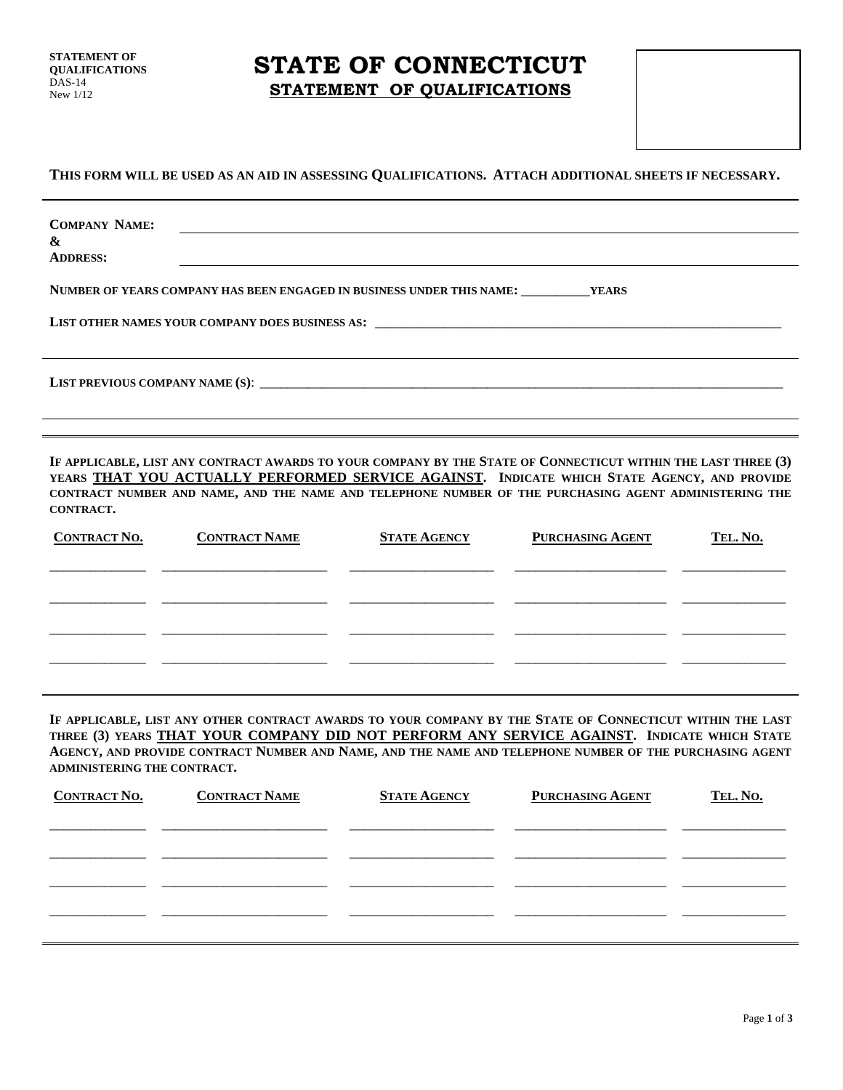**STATEMENT OF QUALIFICATIONS**  DAS-14 New 1/12

### **STATE OF CONNECTICUT STATEMENT OF QUALIFICATIONS**

### **THIS FORM WILL BE USED AS AN AID IN ASSESSING QUALIFICATIONS. ATTACH ADDITIONAL SHEETS IF NECESSARY.**

| <b>COMPANY NAME:</b><br>$\boldsymbol{\mathcal{X}}$<br><b>ADDRESS:</b>                  |
|----------------------------------------------------------------------------------------|
| NUMBER OF YEARS COMPANY HAS BEEN ENGAGED IN BUSINESS UNDER THIS NAME: __________ YEARS |
| LIST PREVIOUS COMPANY NAME (S):                                                        |

**IF APPLICABLE, LIST ANY CONTRACT AWARDS TO YOUR COMPANY BY THE STATE OF CONNECTICUT WITHIN THE LAST THREE (3) YEARS THAT YOU ACTUALLY PERFORMED SERVICE AGAINST. INDICATE WHICH STATE AGENCY, AND PROVIDE CONTRACT NUMBER AND NAME, AND THE NAME AND TELEPHONE NUMBER OF THE PURCHASING AGENT ADMINISTERING THE CONTRACT.**

| <b>CONTRACT NO.</b> | <b>CONTRACT NAME</b> | <b>STATE AGENCY</b> | <b>PURCHASING AGENT</b> | TEL. NO. |
|---------------------|----------------------|---------------------|-------------------------|----------|
|                     |                      |                     |                         |          |
|                     |                      |                     |                         |          |
|                     |                      |                     |                         |          |
|                     |                      |                     |                         |          |
|                     |                      |                     |                         |          |

**IF APPLICABLE, LIST ANY OTHER CONTRACT AWARDS TO YOUR COMPANY BY THE STATE OF CONNECTICUT WITHIN THE LAST THREE (3) YEARS THAT YOUR COMPANY DID NOT PERFORM ANY SERVICE AGAINST. INDICATE WHICH STATE AGENCY, AND PROVIDE CONTRACT NUMBER AND NAME, AND THE NAME AND TELEPHONE NUMBER OF THE PURCHASING AGENT ADMINISTERING THE CONTRACT.** 

| <b>CONTRACT NAME</b> |                     | TEL. No.                |
|----------------------|---------------------|-------------------------|
|                      |                     |                         |
|                      |                     |                         |
|                      |                     |                         |
|                      |                     |                         |
|                      |                     |                         |
|                      |                     |                         |
|                      | <b>STATE AGENCY</b> | <b>PURCHASING AGENT</b> |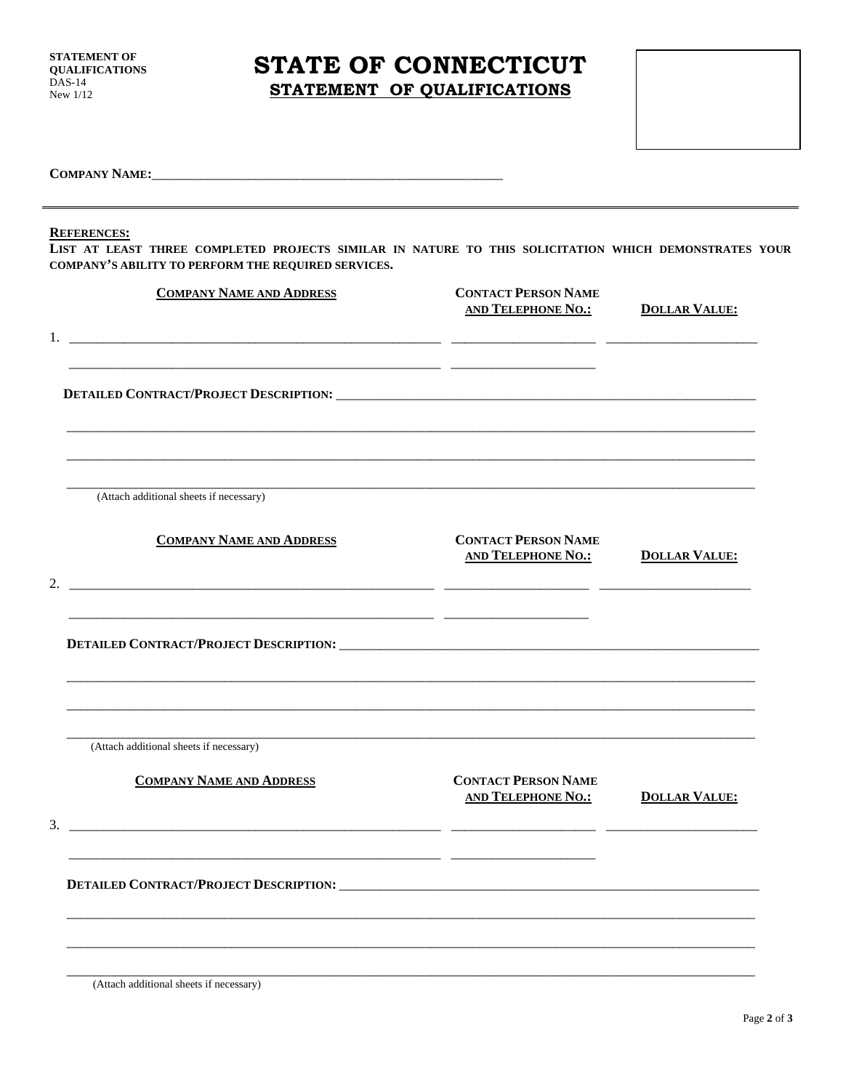STATEMENT OF **QUALIFICATIONS DAS-14** New  $1/12$ 

## STATE OF CONNECTICUT STATEMENT OF QUALIFICATIONS

**COMPANY NAME:** 

### **REFERENCES:**

LIST AT LEAST THREE COMPLETED PROJECTS SIMILAR IN NATURE TO THIS SOLICITATION WHICH DEMONSTRATES YOUR COMPANY'S ABILITY TO PERFORM THE REQUIRED SERVICES.

| <b>COMPANY NAME AND ADDRESS</b>                                                                                                                         | <b>CONTACT PERSON NAME</b><br><b>AND TELEPHONE NO.:</b> | <b>DOLLAR VALUE:</b> |
|---------------------------------------------------------------------------------------------------------------------------------------------------------|---------------------------------------------------------|----------------------|
| <u> 1989 - Johann Barn, mars ann an t-Amhain ann an t-Amhain an t-Amhain ann an t-Amhain an t-Amhain ann an t-Amh</u>                                   |                                                         |                      |
| (Attach additional sheets if necessary)                                                                                                                 |                                                         |                      |
| <b>COMPANY NAME AND ADDRESS</b><br><u> 1989 - Jan Sarah Barat, masjid ah barat dan barat dan barat dan barat dan barat dan barat dan barat dan bara</u> | <b>CONTACT PERSON NAME</b><br><b>AND TELEPHONE NO.:</b> | <b>DOLLAR VALUE:</b> |
|                                                                                                                                                         |                                                         |                      |
| (Attach additional sheets if necessary)                                                                                                                 |                                                         |                      |
| <b>COMPANY NAME AND ADDRESS</b><br><u> 2000 - 2000 - 2000 - 2000 - 2000 - 2000 - 2000 - 2000 - 2000 - 2000 - 2000 - 2000 - 2000 - 2000 - 2000 - 200</u> | <b>CONTACT PERSON NAME</b><br><b>AND TELEPHONE NO.:</b> | <b>DOLLAR VALUE:</b> |
| <u> 2001 - Jan Barat, martin da basar da basar da basar da basar da basar da basar da basar da basar da basar da</u>                                    |                                                         |                      |
|                                                                                                                                                         |                                                         |                      |

(Attach additional sheets if necessary)